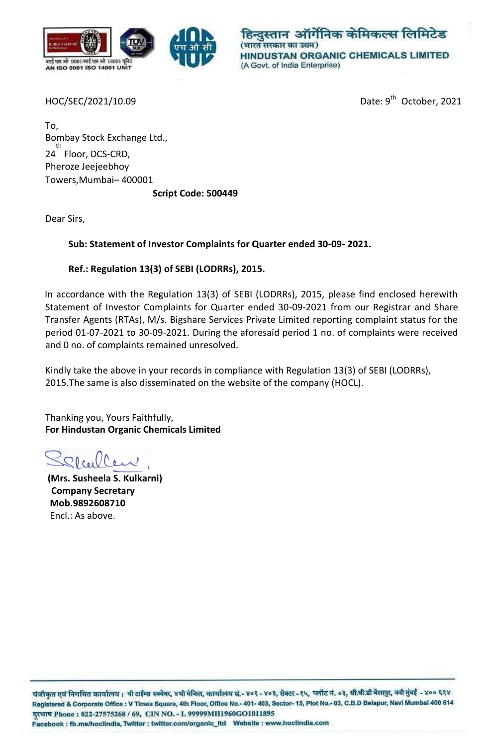

हिन्दस्तान ऑर्गेनिक केमिकल्स लिमिटेड (भारत सरकार का उद्यम) **HINDUSTAN ORGANIC CHEMICALS LIMITED** (A Govt. of India Enterprise)

HOC/SEC/2021/10.09

Date: 9<sup>th</sup> October, 2021

To, Bombay Stock Exchange Ltd., th 24 Floor, DCS-CRD, Pheroze Jeejeebhoy Towers,Mumbai– 400001

**Script Code: 500449**

Dear Sirs,

**Sub: Statement of Investor Complaints for Quarter ended 30-09- 2021.**

## **Ref.: Regulation 13(3) of SEBI (LODRRs), 2015.**

In accordance with the Regulation 13(3) of SEBI (LODRRs), 2015, please find enclosed herewith Statement of Investor Complaints for Quarter ended 30-09-2021 from our Registrar and Share Transfer Agents (RTAs), M/s. Bigshare Services Private Limited reporting complaint status for the period 01-07-2021 to 30-09-2021. During the aforesaid period 1 no. of complaints were received and 0 no. of complaints remained unresolved.

Kindly take the above in your records in compliance with Regulation 13(3) of SEBI (LODRRs), 2015.The same is also disseminated on the website of the company (HOCL).

Thanking you, Yours Faithfully, **For Hindustan Organic Chemicals Limited**

**(Mrs. Susheela S. Kulkarni) Company Secretary Mob.9892608710** Encl.: As above.